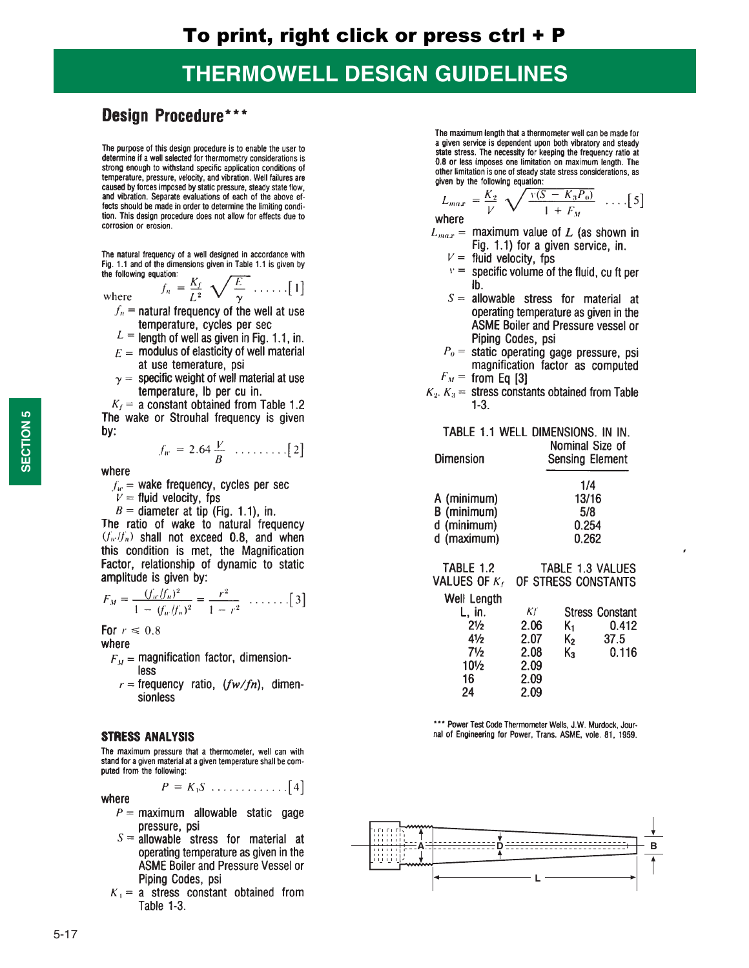### **THERMOWELL DESIGN GUIDELINES**

### **Design Procedure\*\*\***

The purpose of this design procedure is to enable the user to determine if a well selected for thermometry considerations is strong enough to withstand specific application conditions of temperature, pressure, velocity, and vibration. Well failures are caused by forces imposed by static pressure, steady state flow, and vibration. Separate evaluations of each of the above effects should be made in order to determine the limiting condition. This design procedure does not allow for effects due to corrosion or erosion.

The natural frequency of a well designed in accordance with Fig. 1.1 and of the dimensions given in Table 1.1 is given by the following equation:  $f_n = \frac{K_f}{L^2} \sqrt{\frac{E}{\gamma}} \dots \dots \quad [1]$ 

where

- $f_n$  = natural frequency of the well at use temperature, cycles per sec
- $L =$  length of well as given in Fig. 1.1, in.
- $F =$  modulus of elasticity of well material at use temerature, psi
- $y =$  specific weight of well material at use temperature, lb per cu in.

 $K_f$  = a constant obtained from Table 1.2 The wake or Strouhal frequency is given bv:

$$
f_w = 2.64 \frac{V}{B} \dots \dots \dots \dots \dots \dots [2]
$$

where

 $f_w$  = wake frequency, cycles per sec

 $V =$  fluid velocity, fps

 $B =$  diameter at tip (Fig. 1.1), in.

The ratio of wake to natural frequency  $(f_w/f_n)$  shall not exceed 0.8, and when this condition is met, the Magnification Factor, relationship of dynamic to static amplitude is given by:

$$
F_M = \frac{(f_w/f_n)^2}{1 - (f_w/f_n)^2} = \frac{r^2}{1 - r^2} \dots \dots \tag{3}
$$

For  $r \leq 0.8$ 

where

- $F_M$  = magnification factor, dimensionless
	- $r =$  frequency ratio,  $(fw/fn)$ , dimensionless

### **STRESS ANALYSIS**

The maximum pressure that a thermometer, well can with stand for a given material at a given temperature shall be computed from the following:

 $P = K_1 S \dots \dots \dots \dots \dots [4]$ 

where

- $P =$  maximum allowable static gage pressure, psi
- $S =$  allowable stress for material at operating temperature as given in the ASME Boiler and Pressure Vessel or Piping Codes, psi
- $K_1$  = a stress constant obtained from Table 1-3.

The maximum length that a thermometer well can be made for a given service is dependent upon both vibratory and steady state stress. The necessity for keeping the frequency ratio at 0.8 or less imposes one limitation on maximum length. The other limitation is one of steady state stress considerations, as given by the following equation:

$$
L_{max} = \frac{K_2}{V} \sqrt{\frac{v(S - K_3 P_0)}{1 + F_M}} \dots [5]
$$

where

- $L_{max}$  = maximum value of L (as shown in Fig. 1.1) for a given service, in.
	- $V =$  fluid velocity, fps
	- $v =$  specific volume of the fluid, cu ft per Ib.
	- $S =$  allowable stress for material at operating temperature as given in the ASME Boiler and Pressure vessel or Piping Codes, psi
	- $P<sub>0</sub>$  = static operating gage pressure, psi magnification factor as computed  $F_M$  = from Eq [3]
- $K_2$ ,  $K_3$  = stress constants obtained from Table  $1-3.$

#### TABLE 1.1 WELL DIMENSIONS. IN IN. Nominal Size of

| <b>Dimension</b> | <b>Sensing Element</b> |  |  |  |
|------------------|------------------------|--|--|--|
|                  | 1/4                    |  |  |  |
| A (minimum)      | 13/16                  |  |  |  |
| B (minimum)      | 5/8                    |  |  |  |
| d (minimum)      | 0.254                  |  |  |  |
| d (maximum)      | 0.262                  |  |  |  |

| <b>TABLE 1.2</b>   | TABLE 1.3 VALUES<br>VALUES OF K <sub>f</sub> OF STRESS CONSTANTS |       |                        |  |  |  |
|--------------------|------------------------------------------------------------------|-------|------------------------|--|--|--|
| <b>Well Length</b> |                                                                  |       |                        |  |  |  |
| L, in.             | Kf                                                               |       | <b>Stress Constant</b> |  |  |  |
| $2\frac{1}{2}$     | 2.06                                                             | K1.   | 0.412                  |  |  |  |
| 41/2               | 2.07                                                             | $K_2$ | 37.5                   |  |  |  |
| $7\frac{1}{2}$     | 2.08                                                             | $K_3$ | 0.116                  |  |  |  |
| $10^{1/2}$         | 2.09                                                             |       |                        |  |  |  |
| 16                 | 2.09                                                             |       |                        |  |  |  |
| 24                 | 2.09                                                             |       |                        |  |  |  |

\*\*\* Power Test Code Thermometer Wells, J.W. Murdock, Journal of Engineering for Power, Trans. ASME, vole. 81, 1959.